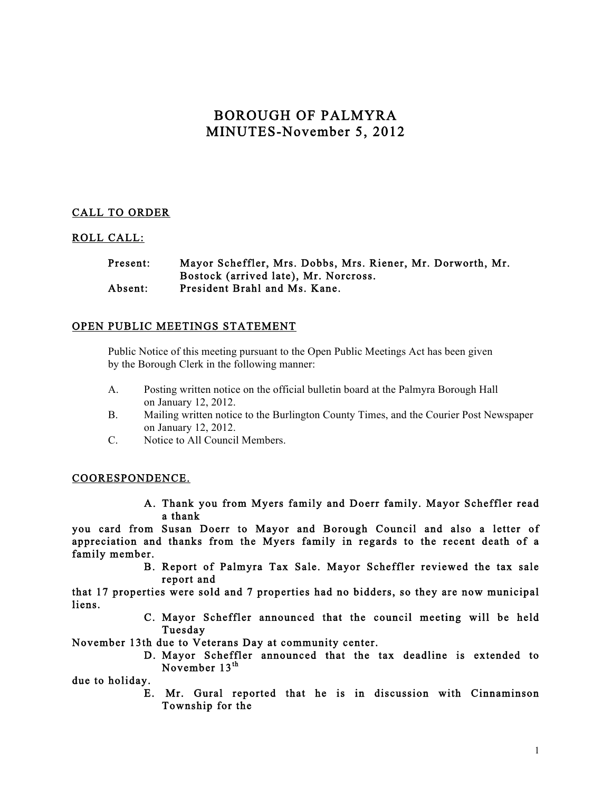# BOROUGH OF PALMYRA MINUTES-November 5, 2012

## CALL TO ORDER

## ROLL CALL:

### Present: Mayor Scheffler, Mrs. Dobbs, Mrs. Riener, Mr. Dorworth, Mr. Bostock (arrived late), Mr. Norcross. Absent: President Brahl and Ms. Kane.

### OPEN PUBLIC MEETINGS STATEMENT

Public Notice of this meeting pursuant to the Open Public Meetings Act has been given by the Borough Clerk in the following manner:

- A. Posting written notice on the official bulletin board at the Palmyra Borough Hall on January 12, 2012.
- B. Mailing written notice to the Burlington County Times, and the Courier Post Newspaper on January 12, 2012.
- C. Notice to All Council Members.

#### COORESPONDENCE.

A. Thank you from Myers family and Doerr family. Mayor Scheffler read a thank

you card from Susan Doerr to Mayor and Borough Council and also a letter of appreciation and thanks from the Myers family in regards to the recent death of a family member.

> B. Report of Palmyra Tax Sale. Mayor Scheffler reviewed the tax sale report and

that 17 properties were sold and 7 properties had no bidders, so they are now municipal liens.

> C. Mayor Scheffler announced that the council meeting will be held Tuesday

November 13th due to Veterans Day at community center.

D. Mayor Scheffler announced that the tax deadline is extended to November 13<sup>th</sup>

due to holiday.

E. Mr. Gural reported that he is in discussion with Cinnaminson Township for the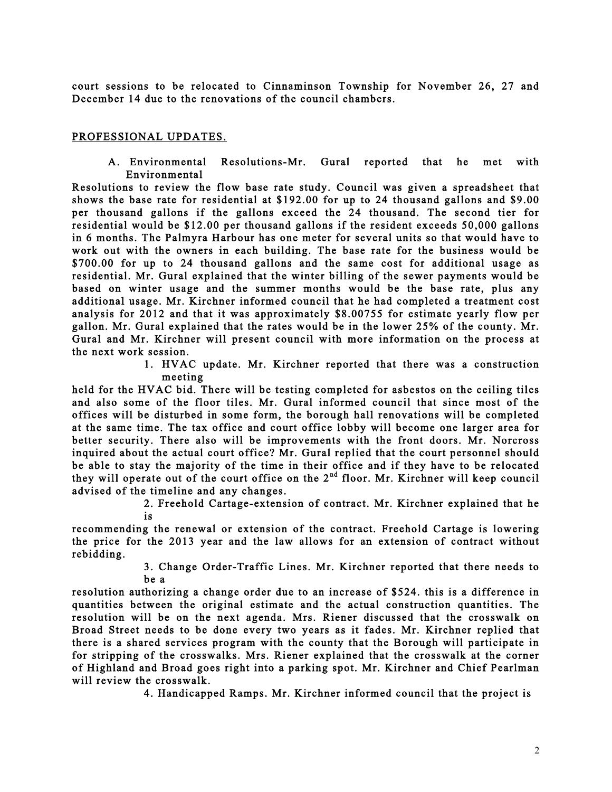court sessions to be relocated to Cinnaminson Township for November 26, 27 and December 14 due to the renovations of the council chambers.

### PROFESSIONAL UPDATES.

A. Environmental Resolutions-Mr. Gural reported that he met with Environmental

Resolutions to review the flow base rate study. Council was given a spreadsheet that shows the base rate for residential at \$192.00 for up to 24 thousand gallons and \$9.00 per thousand gallons if the gallons exceed the 24 thousand. The second tier for residential would be \$12.00 per thousand gallons if the resident exceeds 50,000 gallons in 6 months. The Palmyra Harbour has one meter for several units so that would have to work out with the owners in each building. The base rate for the business would be \$700.00 for up to 24 thousand gallons and the same cost for additional usage as residential. Mr. Gural explained that the winter billing of the sewer payments would be based on winter usage and the summer months would be the base rate, plus any additional usage. Mr. Kirchner informed council that he had completed a treatment cost analysis for 2012 and that it was approximately \$8.00755 for estimate yearly flow per gallon. Mr. Gural explained that the rates would be in the lower 25% of the county. Mr. Gural and Mr. Kirchner will present council with more information on the process at the next work session.

> 1. HVAC update. Mr. Kirchner reported that there was a construction meeting

held for the HVAC bid. There will be testing completed for asbestos on the ceiling tiles and also some of the floor tiles. Mr. Gural informed council that since most of the offices will be disturbed in some form, the borough hall renovations will be completed at the same time. The tax office and court office lobby will become one larger area for better security. There also will be improvements with the front doors. Mr. Norcross inquired about the actual court office? Mr. Gural replied that the court personnel should be able to stay the majority of the time in their office and if they have to be relocated they will operate out of the court office on the  $2<sup>nd</sup>$  floor. Mr. Kirchner will keep council advised of the timeline and any changes.

2. Freehold Cartage-extension of contract. Mr. Kirchner explained that he is

recommending the renewal or extension of the contract. Freehold Cartage is lowering the price for the 2013 year and the law allows for an extension of contract without rebidding.

> 3. Change Order-Traffic Lines. Mr. Kirchner reported that there needs to be a

resolution authorizing a change order due to an increase of \$524. this is a difference in quantities between the original estimate and the actual construction quantities. The resolution will be on the next agenda. Mrs. Riener discussed that the crosswalk on Broad Street needs to be done every two years as it fades. Mr. Kirchner replied that there is a shared services program with the county that the Borough will participate in for stripping of the crosswalks. Mrs. Riener explained that the crosswalk at the corner of Highland and Broad goes right into a parking spot. Mr. Kirchner and Chief Pearlman will review the crosswalk.

4. Handicapped Ramps. Mr. Kirchner informed council that the project is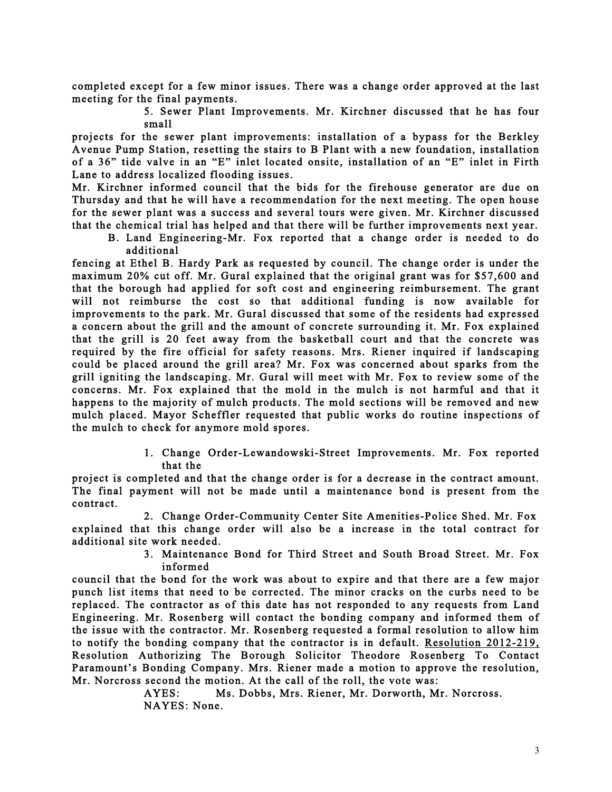completed except for a few minor issues. There was a change order approved at the last meeting for the final payments.

> 5. Sewer Plant Improvements. Mr. Kirchner discussed that he has four small

projects for the sewer plant improvements: installation of a bypass for the Berkley Avenue Pump Station, resetting the stairs to B Plant with a new foundation, installation of a 36" tide valve in an "E" inlet located onsite, installation of an "E" inlet in Firth Lane to address localized flooding issues.

Mr. Kirchner informed council that the bids for the firehouse generator are due on Thursday and that he will have a recommendation for the next meeting. The open house for the sewer plant was a success and several tours were given. Mr. Kirchner discussed that the chemical trial has helped and that there will be further improvements next year.

B. Land Engineering-Mr. Fox reported that a change order is needed to do additional

fencing at Ethel B. Hardy Park as requested by council. The change order is under the maximum 20% cut off. Mr. Gural explained that the original grant was for \$57,600 and that the borough had applied for soft cost and engineering reimbursement. The grant will not reimburse the cost so that additional funding is now available for improvements to the park. Mr. Gural discussed that some of the residents had expressed a concern about the grill and the amount of concrete surrounding it. Mr. Fox explained that the grill is 20 feet away from the basketball court and that the concrete was required by the fire official for safety reasons. Mrs. Riener inquired if landscaping could be placed around the grill area? Mr. Fox was concerned about sparks from the grill igniting the landscaping. Mr. Gural will meet with Mr. Fox to review some of the concerns. Mr. Fox explained that the mold in the mulch is not harmful and that it happens to the majority of mulch products. The mold sections will be removed and new mulch placed. Mayor Scheffler requested that public works do routine inspections of the mulch to check for anymore mold spores.

> 1. Change Order-Lewandowski-Street Improvements. Mr. Fox reported that the

project is completed and that the change order is for a decrease in the contract amount. The final payment will not be made until a maintenance bond is present from the contract.

2. Change Order-Community Center Site Amenities-Police Shed. Mr. Fox explained that this change order will also be a increase in the total contract for additional site work needed.

> 3. Maintenance Bond for Third Street and South Broad Street. Mr. Fox informed

council that the bond for the work was about to expire and that there are a few major punch list items that need to be corrected. The minor cracks on the curbs need to be replaced. The contractor as of this date has not responded to any requests from Land Engineering. Mr. Rosenberg will contact the bonding company and informed them of the issue with the contractor. Mr. Rosenberg requested a formal resolution to allow him to notify the bonding company that the contractor is in default. Resolution 2012-219, Resolution Authorizing The Borough Solicitor Theodore Rosenberg To Contact Paramount's Bonding Company. Mrs. Riener made a motion to approve the resolution, Mr. Norcross second the motion. At the call of the roll, the vote was:

> AYES: Ms. Dobbs, Mrs. Riener, Mr. Dorworth, Mr. Norcross. NAYES: None.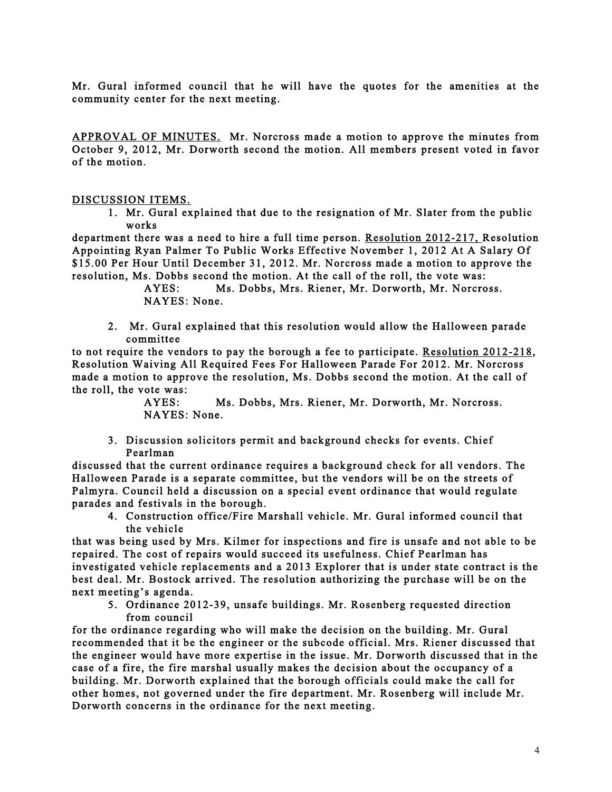Mr. Gural informed council that he will have the quotes for the amenities at the community center for the next meeting.

APPROVAL OF MINUTES. Mr. Norcross made a motion to approve the minutes from October 9, 2012, Mr. Dorworth second the motion. All members present voted in favor of the motion.

#### DISCUSSION ITEMS.

1. Mr. Gural explained that due to the resignation of Mr. Slater from the public works

department there was a need to hire a full time person. Resolution 2012-217, Resolution Appointing Ryan Palmer To Public Works Effective November 1, 2012 At A Salary Of \$15.00 Per Hour Until December 31, 2012. Mr. Norcross made a motion to approve the resolution, Ms. Dobbs second the motion. At the call of the roll, the vote was:

- AYES: Ms. Dobbs, Mrs. Riener, Mr. Dorworth, Mr. Norcross. NAYES: None.
- 2. Mr. Gural explained that this resolution would allow the Halloween parade committee

to not require the vendors to pay the borough a fee to participate. Resolution 2012-218, Resolution Waiving All Required Fees For Halloween Parade For 2012. Mr. Norcross made a motion to approve the resolution, Ms. Dobbs second the motion. At the call of the roll, the vote was:

> AYES: Ms. Dobbs, Mrs. Riener, Mr. Dorworth, Mr. Norcross. NAYES: None.

3. Discussion solicitors permit and background checks for events. Chief Pearlman

discussed that the current ordinance requires a background check for all vendors. The Halloween Parade is a separate committee, but the vendors will be on the streets of Palmyra. Council held a discussion on a special event ordinance that would regulate parades and festivals in the borough.

4. Construction office/Fire Marshall vehicle. Mr. Gural informed council that the vehicle

that was being used by Mrs. Kilmer for inspections and fire is unsafe and not able to be repaired. The cost of repairs would succeed its usefulness. Chief Pearlman has investigated vehicle replacements and a 2013 Explorer that is under state contract is the best deal. Mr. Bostock arrived. The resolution authorizing the purchase will be on the next meeting's agenda.

5. Ordinance 2012-39, unsafe buildings. Mr. Rosenberg requested direction from council

for the ordinance regarding who will make the decision on the building. Mr. Gural recommended that it be the engineer or the subcode official. Mrs. Riener discussed that the engineer would have more expertise in the issue. Mr. Dorworth discussed that in the case of a fire, the fire marshal usually makes the decision about the occupancy of a building. Mr. Dorworth explained that the borough officials could make the call for other homes, not governed under the fire department. Mr. Rosenberg will include Mr. Dorworth concerns in the ordinance for the next meeting.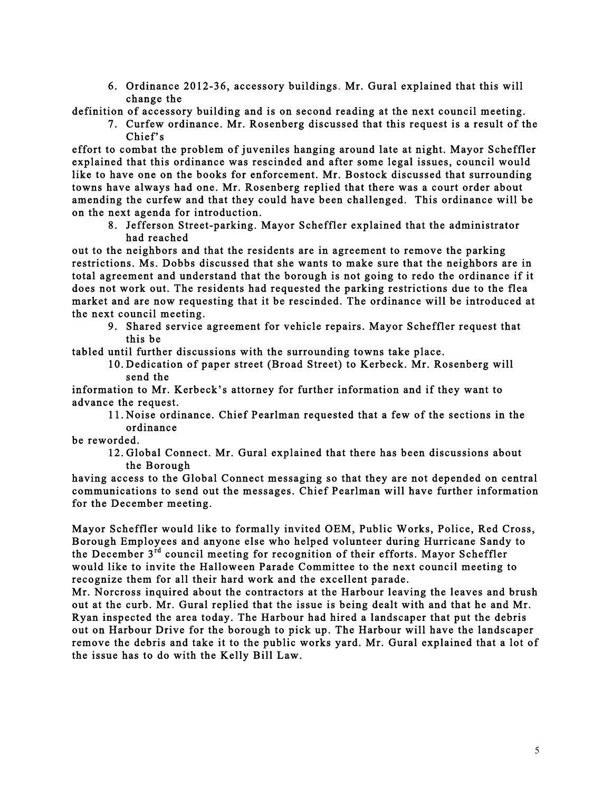6. Ordinance 2012-36, accessory buildings. Mr. Gural explained that this will change the

definition of accessory building and is on second reading at the next council meeting.

7. Curfew ordinance. Mr. Rosenberg discussed that this request is a result of the Chief's

effort to combat the problem of juveniles hanging around late at night. Mayor Scheffler explained that this ordinance was rescinded and after some legal issues, council would like to have one on the books for enforcement. Mr. Bostock discussed that surrounding towns have always had one. Mr. Rosenberg replied that there was a court order about amending the curfew and that they could have been challenged. This ordinance will be on the next agenda for introduction.

8. Jefferson Street-parking. Mayor Scheffler explained that the administrator had reached

out to the neighbors and that the residents are in agreement to remove the parking restrictions. Ms. Dobbs discussed that she wants to make sure that the neighbors are in total agreement and understand that the borough is not going to redo the ordinance if it does not work out. The residents had requested the parking restrictions due to the flea market and are now requesting that it be rescinded. The ordinance will be introduced at the next council meeting.

9. Shared service agreement for vehicle repairs. Mayor Scheffler request that this be

tabled until further discussions with the surrounding towns take place.

10. Dedication of paper street (Broad Street) to Kerbeck. Mr. Rosenberg will send the

information to Mr. Kerbeck's attorney for further information and if they want to advance the request.

11. Noise ordinance. Chief Pearlman requested that a few of the sections in the ordinance

be reworded.

12. Global Connect. Mr. Gural explained that there has been discussions about the Borough

having access to the Global Connect messaging so that they are not depended on central communications to send out the messages. Chief Pearlman will have further information for the December meeting.

Mayor Scheffler would like to formally invited OEM, Public Works, Police, Red Cross, Borough Employees and anyone else who helped volunteer during Hurricane Sandy to the December  $3<sup>rd</sup>$  council meeting for recognition of their efforts. Mayor Scheffler would like to invite the Halloween Parade Committee to the next council meeting to recognize them for all their hard work and the excellent parade.

Mr. Norcross inquired about the contractors at the Harbour leaving the leaves and brush out at the curb. Mr. Gural replied that the issue is being dealt with and that he and Mr. Ryan inspected the area today. The Harbour had hired a landscaper that put the debris out on Harbour Drive for the borough to pick up. The Harbour will have the landscaper remove the debris and take it to the public works yard. Mr. Gural explained that a lot of the issue has to do with the Kelly Bill Law.